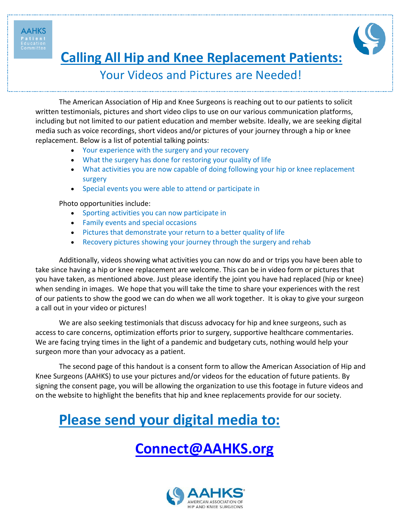**AAHKS** 



**Calling All Hip and Knee Replacement Patients:**

### Your Videos and Pictures are Needed!

The American Association of Hip and Knee Surgeons is reaching out to our patients to solicit written testimonials, pictures and short video clips to use on our various communication platforms, including but not limited to our patient education and member website. Ideally, we are seeking digital media such as voice recordings, short videos and/or pictures of your journey through a hip or knee replacement. Below is a list of potential talking points:

- Your experience with the surgery and your recovery
- What the surgery has done for restoring your quality of life
- What activities you are now capable of doing following your hip or knee replacement surgery
- Special events you were able to attend or participate in

Photo opportunities include:

- Sporting activities you can now participate in
- Family events and special occasions
- Pictures that demonstrate your return to a better quality of life
- Recovery pictures showing your journey through the surgery and rehab

Additionally, videos showing what activities you can now do and or trips you have been able to take since having a hip or knee replacement are welcome. This can be in video form or pictures that you have taken, as mentioned above. Just please identify the joint you have had replaced (hip or knee) when sending in images. We hope that you will take the time to share your experiences with the rest of our patients to show the good we can do when we all work together. It is okay to give your surgeon a call out in your video or pictures!

We are also seeking testimonials that discuss advocacy for hip and knee surgeons, such as access to care concerns, optimization efforts prior to surgery, supportive healthcare commentaries. We are facing trying times in the light of a pandemic and budgetary cuts, nothing would help your surgeon more than your advocacy as a patient.

The second page of this handout is a consent form to allow the American Association of Hip and Knee Surgeons (AAHKS) to use your pictures and/or videos for the education of future patients. By signing the consent page, you will be allowing the organization to use this footage in future videos and on the website to highlight the benefits that hip and knee replacements provide for our society.

# **Please send your digital media to:**

## **Connect@AAHKS.org**